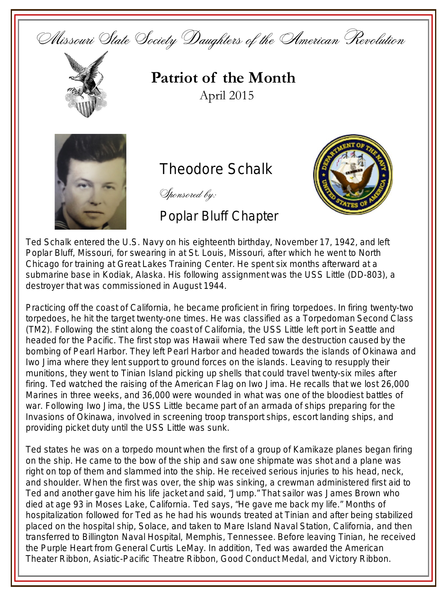Missouri State Society Daughters of the American Revolution



**Patriot of the Month** April 2015



## **Theodore Schalk**

Sponsored by:

## Poplar Bluff Chapter



Ted Schalk entered the U.S. Navy on his eighteenth birthday, November 17, 1942, and left Poplar Bluff, Missouri, for swearing in at St. Louis, Missouri, after which he went to North Chicago for training at Great Lakes Training Center. He spent six months afterward at a submarine base in Kodiak, Alaska. His following assignment was the USS Little (DD-803), a destroyer that was commissioned in August 1944.

Practicing off the coast of California, he became proficient in firing torpedoes. In firing twenty-two torpedoes, he hit the target twenty-one times. He was classified as a Torpedoman Second Class (TM2). Following the stint along the coast of California, the USS Little left port in Seattle and headed for the Pacific. The first stop was Hawaii where Ted saw the destruction caused by the bombing of Pearl Harbor. They left Pearl Harbor and headed towards the islands of Okinawa and Iwo Jima where they lent support to ground forces on the islands. Leaving to resupply their munitions, they went to Tinian Island picking up shells that could travel twenty-six miles after firing. Ted watched the raising of the American Flag on Iwo Jima. He recalls that we lost 26,000 Marines in three weeks, and 36,000 were wounded in what was one of the bloodiest battles of war. Following Iwo Jima, the USS Little became part of an armada of ships preparing for the Invasions of Okinawa, involved in screening troop transport ships, escort landing ships, and providing picket duty until the USS Little was sunk.

Ted states he was on a torpedo mount when the first of a group of Kamikaze planes began firing on the ship. He came to the bow of the ship and saw one shipmate was shot and a plane was right on top of them and slammed into the ship. He received serious injuries to his head, neck, and shoulder. When the first was over, the ship was sinking, a crewman administered first aid to Ted and another gave him his life jacket and said, "Jump." That sailor was James Brown who died at age 93 in Moses Lake, California. Ted says, "He gave me back my life." Months of hospitalization followed for Ted as he had his wounds treated at Tinian and after being stabilized placed on the hospital ship, Solace, and taken to Mare Island Naval Station, California, and then transferred to Billington Naval Hospital, Memphis, Tennessee. Before leaving Tinian, he received the Purple Heart from General Curtis LeMay. In addition, Ted was awarded the American Theater Ribbon, Asiatic-Pacific Theatre Ribbon, Good Conduct Medal, and Victory Ribbon.